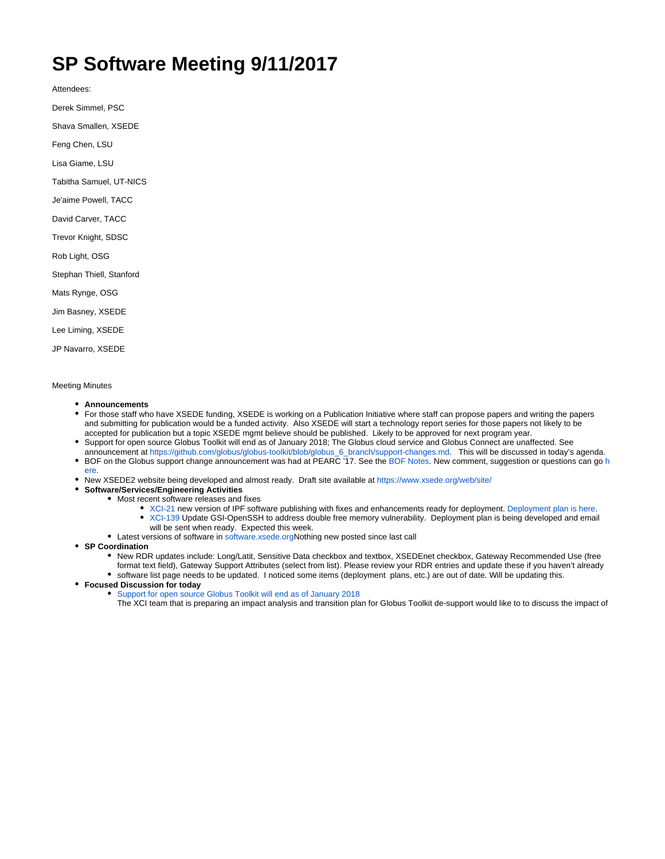## **SP Software Meeting 9/11/2017**

Attendees:

Derek Simmel, PSC

Shava Smallen, XSEDE

Feng Chen, LSU

Lisa Giame, LSU

Tabitha Samuel, UT-NICS

Je'aime Powell, TACC

David Carver, TACC

Trevor Knight, SDSC

Rob Light, OSG

Stephan Thiell, Stanford

Mats Rynge, OSG

Jim Basney, XSEDE

Lee Liming, XSEDE

JP Navarro, XSEDE

## Meeting Minutes

[ere.](https://software.xsede.org/xci-127-qa)

- **Announcements**
- For those staff who have XSEDE funding, XSEDE is working on a Publication Initiative where staff can propose papers and writing the papers and submitting for publication would be a funded activity. Also XSEDE will start a technology report series for those papers not likely to be accepted for publication but a topic XSEDE mgmt believe should be published. Likely to be approved for next program year.
- Support for open source Globus Toolkit will end as of January 2018; The Globus cloud service and Globus Connect are unaffected. See announcement at [https://github.com/globus/globus-toolkit/blob/globus\\_6\\_branch/support-changes.md](https://github.com/globus/globus-toolkit/blob/globus_6_branch/support-changes.md). This will be discussed in today's agenda. • BOF on the Globus support change announcement was had at PEARC '17. See the [BOF Notes](https://software.xsede.org/forum-topic/pearc17-bof-globus-toolkit-support-changes). New comment, suggestion or questions can go [h](https://software.xsede.org/xci-127-qa)
- New XSEDE2 website being developed and almost ready. Draft site available at<https://www.xsede.org/web/site/>
- **Software/Services/Engineering Activities**
	- Most recent software releases and fixes
		- [XCI-21](https://software.xsede.org/display/xci-21) new version of IPF software publishing with fixes and enhancements ready for deployment. [Deployment plan is here](http://software.xsede.org/production/deployment_plans/XSEDE-Deployment-XCI-21-ipf-1.3-4.pdf). [XCI-139](https://software.xsede.org/display/xci-139) Update GSI-OpenSSH to address double free memory vulnerability. Deployment plan is being developed and email
		- will be sent when ready. Expected this week.
		- Latest versions of software in [software.xsede.orgN](http://software.xsede.org)othing new posted since last call

**SP Coordination**

- **New RDR updates include: Long/Latit, Sensitive Data checkbox and textbox, XSEDEnet checkbox, Gateway Recommended Use (free** format text field), Gateway Support Attributes (select from list). Please review your RDR entries and update these if you haven't already software list page needs to be updated. I noticed some items (deployment plans, etc.) are out of date. Will be updating this.
- **Focused Discussion for today**
	- [Support for open source Globus Toolkit will end as of January 2018](https://github.com/globus/globus-toolkit/blob/globus_6_branch/support-changes.md)
		- The XCI team that is preparing an impact analysis and transition plan for Globus Toolkit de-support would like to to discuss the impact of